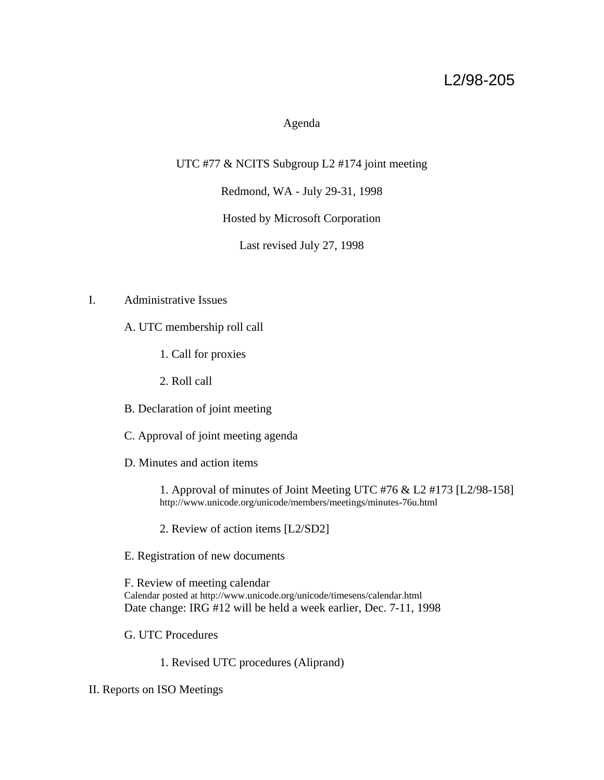# L2/98-205

# Agenda

UTC #77 & NCITS Subgroup L2 #174 joint meeting

Redmond, WA - July 29-31, 1998

Hosted by Microsoft Corporation

Last revised July 27, 1998

## I. Administrative Issues

A. UTC membership roll call

1. Call for proxies

2. Roll call

B. Declaration of joint meeting

C. Approval of joint meeting agenda

D. Minutes and action items

1. Approval of minutes of Joint Meeting UTC #76 & L2 #173 [L2/98-158] http://www.unicode.org/unicode/members/meetings/minutes-76u.html

2. Review of action items [L2/SD2]

E. Registration of new documents

F. Review of meeting calendar Calendar posted at http://www.unicode.org/unicode/timesens/calendar.html Date change: IRG #12 will be held a week earlier, Dec. 7-11, 1998

G. UTC Procedures

1. Revised UTC procedures (Aliprand)

II. Reports on ISO Meetings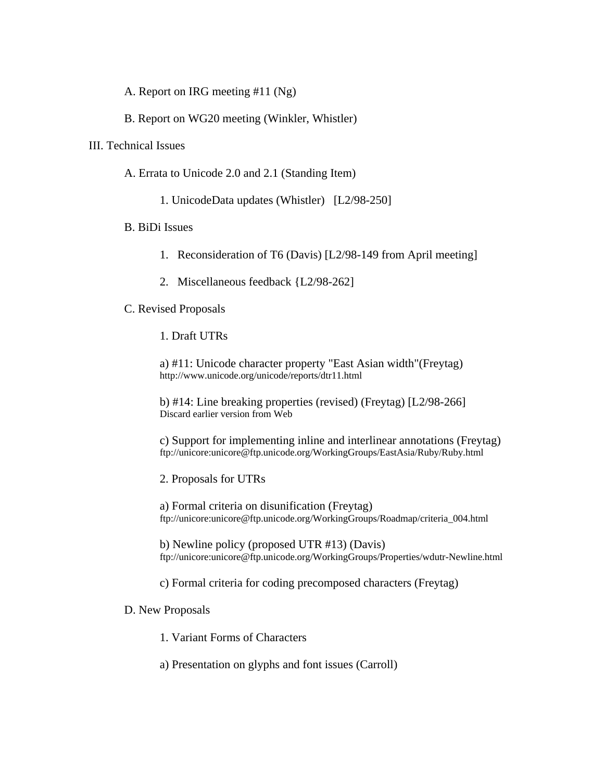A. Report on IRG meeting #11 (Ng)

B. Report on WG20 meeting (Winkler, Whistler)

## III. Technical Issues

- A. Errata to Unicode 2.0 and 2.1 (Standing Item)
	- 1. UnicodeData updates (Whistler) [L2/98-250]

## B. BiDi Issues

- 1. Reconsideration of T6 (Davis) [L2/98-149 from April meeting]
- 2. Miscellaneous feedback {L2/98-262]

## C. Revised Proposals

1. Draft UTRs

a) #11: Unicode character property "East Asian width"(Freytag) http://www.unicode.org/unicode/reports/dtr11.html

b) #14: Line breaking properties (revised) (Freytag) [L2/98-266] Discard earlier version from Web

c) Support for implementing inline and interlinear annotations (Freytag) ftp://unicore:unicore@ftp.unicode.org/WorkingGroups/EastAsia/Ruby/Ruby.html

#### 2. Proposals for UTRs

a) Formal criteria on disunification (Freytag) ftp://unicore:unicore@ftp.unicode.org/WorkingGroups/Roadmap/criteria\_004.html

b) Newline policy (proposed UTR #13) (Davis) ftp://unicore:unicore@ftp.unicode.org/WorkingGroups/Properties/wdutr-Newline.html

c) Formal criteria for coding precomposed characters (Freytag)

#### D. New Proposals

1. Variant Forms of Characters

a) Presentation on glyphs and font issues (Carroll)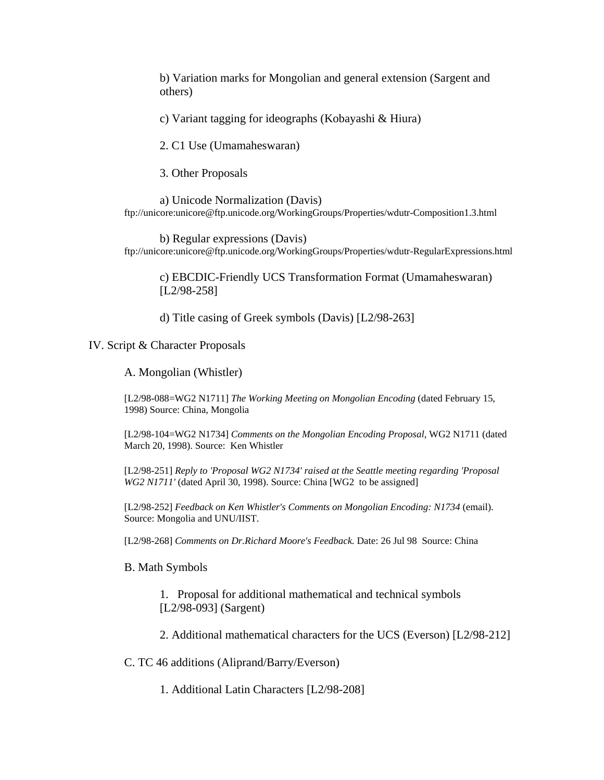b) Variation marks for Mongolian and general extension (Sargent and others)

c) Variant tagging for ideographs (Kobayashi & Hiura)

2. C1 Use (Umamaheswaran)

3. Other Proposals

a) Unicode Normalization (Davis) ftp://unicore:unicore@ftp.unicode.org/WorkingGroups/Properties/wdutr-Composition1.3.html

b) Regular expressions (Davis) ftp://unicore:unicore@ftp.unicode.org/WorkingGroups/Properties/wdutr-RegularExpressions.html

c) EBCDIC-Friendly UCS Transformation Format (Umamaheswaran) [L2/98-258]

d) Title casing of Greek symbols (Davis) [L2/98-263]

IV. Script & Character Proposals

A. Mongolian (Whistler)

[L2/98-088=WG2 N1711] *The Working Meeting on Mongolian Encoding* (dated February 15, 1998) Source: China, Mongolia

[L2/98-104=WG2 N1734] *Comments on the Mongolian Encoding Proposal*, WG2 N1711 (dated March 20, 1998). Source: Ken Whistler

[L2/98-251] *Reply to 'Proposal WG2 N1734' raised at the Seattle meeting regarding 'Proposal WG2 N1711'* (dated April 30, 1998). Source: China [WG2 to be assigned]

[L2/98-252] *Feedback on Ken Whistler's Comments on Mongolian Encoding: N1734* (email). Source: Mongolia and UNU/IIST.

[L2/98-268] *Comments on Dr.Richard Moore's Feedback.* Date: 26 Jul 98 Source: China

#### B. Math Symbols

1. Proposal for additional mathematical and technical symbols [L2/98-093] (Sargent)

2. Additional mathematical characters for the UCS (Everson) [L2/98-212]

C. TC 46 additions (Aliprand/Barry/Everson)

1. Additional Latin Characters [L2/98-208]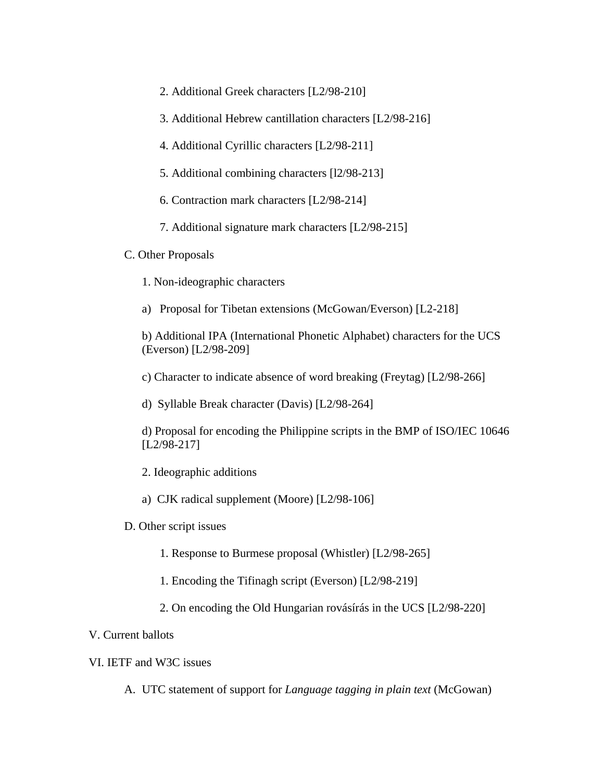- 2. Additional Greek characters [L2/98-210]
- 3. Additional Hebrew cantillation characters [L2/98-216]
- 4. Additional Cyrillic characters [L2/98-211]
- 5. Additional combining characters [l2/98-213]
- 6. Contraction mark characters [L2/98-214]
- 7. Additional signature mark characters [L2/98-215]

#### C. Other Proposals

- 1. Non-ideographic characters
- a) Proposal for Tibetan extensions (McGowan/Everson) [L2-218]

b) Additional IPA (International Phonetic Alphabet) characters for the UCS (Everson) [L2/98-209]

- c) Character to indicate absence of word breaking (Freytag) [L2/98-266]
- d) Syllable Break character (Davis) [L2/98-264]
- d) Proposal for encoding the Philippine scripts in the BMP of ISO/IEC 10646 [L2/98-217]
- 2. Ideographic additions
- a) CJK radical supplement (Moore) [L2/98-106]
- D. Other script issues
	- 1. Response to Burmese proposal (Whistler) [L2/98-265]
	- 1. Encoding the Tifinagh script (Everson) [L2/98-219]
	- 2. On encoding the Old Hungarian rovásírás in the UCS [L2/98-220]

#### V. Current ballots

## VI. IETF and W3C issues

A. UTC statement of support for *Language tagging in plain text* (McGowan)